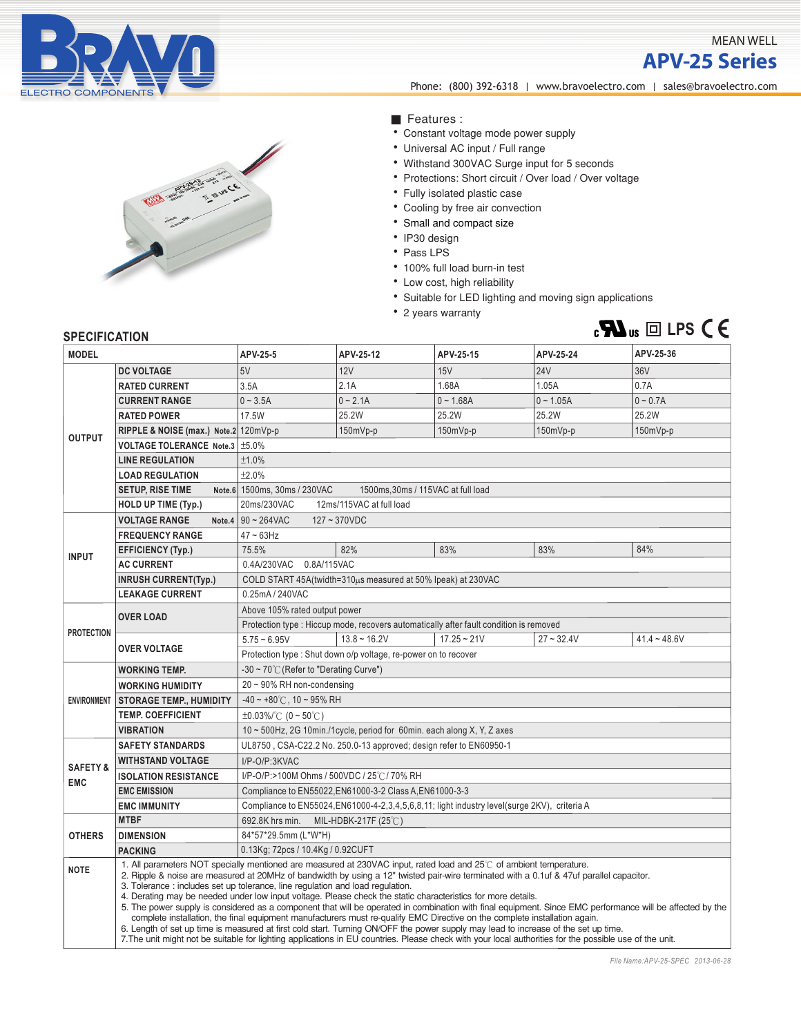

## MEAN WELL

**APV-25 Series**



**APV- 2 5 se ri es** Phone: (800) 392-6318 | <www.bravoelectro.com>| [sales@bravoelectro.com](mailto:sales%40bravoelectro.com?subject=)

- Features :
- ‧Constant voltage mode power supply
- ‧Universal AC input / Full range
- ‧Withstand 300VAC Surge input for 5 seconds
- ‧Protections: Short circuit / Over load / Over voltage
- ‧Fully isolated plastic case
- ‧Cooling by free air convection
- ‧ Small and compact size
- ‧IP30 design
- Pass LPS
- ‧100% full load burn-in test
- ‧Low cost, high reliability
- ‧Suitable for LED lighting and moving sign applications
- ‧2 years warranty



## **SPECIFICATION**

| <b>MODEL</b>                      |                                                                                                                                                                                                                                                                                                                                                                                                                                                                                                                                                                                                                                                                                                                                                                                                                                                                                                                                                                                                                                                              | APV-25-5                                                                                            | APV-25-12         | APV-25-15     | APV-25-24    | APV-25-36       |
|-----------------------------------|--------------------------------------------------------------------------------------------------------------------------------------------------------------------------------------------------------------------------------------------------------------------------------------------------------------------------------------------------------------------------------------------------------------------------------------------------------------------------------------------------------------------------------------------------------------------------------------------------------------------------------------------------------------------------------------------------------------------------------------------------------------------------------------------------------------------------------------------------------------------------------------------------------------------------------------------------------------------------------------------------------------------------------------------------------------|-----------------------------------------------------------------------------------------------------|-------------------|---------------|--------------|-----------------|
| <b>OUTPUT</b>                     | <b>DC VOLTAGE</b>                                                                                                                                                                                                                                                                                                                                                                                                                                                                                                                                                                                                                                                                                                                                                                                                                                                                                                                                                                                                                                            | 5V                                                                                                  | 12V               | 15V           | <b>24V</b>   | 36 <sub>V</sub> |
|                                   | <b>RATED CURRENT</b>                                                                                                                                                                                                                                                                                                                                                                                                                                                                                                                                                                                                                                                                                                                                                                                                                                                                                                                                                                                                                                         | 3.5A                                                                                                | 2.1A              | 1.68A         | 1.05A        | 0.7A            |
|                                   | <b>CURRENT RANGE</b>                                                                                                                                                                                                                                                                                                                                                                                                                                                                                                                                                                                                                                                                                                                                                                                                                                                                                                                                                                                                                                         | $0 - 3.5A$                                                                                          | $0 - 2.1A$        | $0 - 1.68A$   | $0 - 1.05A$  | $0 - 0.7A$      |
|                                   | <b>RATED POWER</b>                                                                                                                                                                                                                                                                                                                                                                                                                                                                                                                                                                                                                                                                                                                                                                                                                                                                                                                                                                                                                                           | 17.5W                                                                                               | 25.2W             | 25.2W         | 25.2W        | 25.2W           |
|                                   | RIPPLE & NOISE (max.) Note.2 120mVp-p                                                                                                                                                                                                                                                                                                                                                                                                                                                                                                                                                                                                                                                                                                                                                                                                                                                                                                                                                                                                                        |                                                                                                     | 150mVp-p          | $150mVp-p$    | $150mVp-p$   | 150mVp-p        |
|                                   | VOLTAGE TOLERANCE Note.3   ±5.0%                                                                                                                                                                                                                                                                                                                                                                                                                                                                                                                                                                                                                                                                                                                                                                                                                                                                                                                                                                                                                             |                                                                                                     |                   |               |              |                 |
|                                   | <b>LINE REGULATION</b>                                                                                                                                                                                                                                                                                                                                                                                                                                                                                                                                                                                                                                                                                                                                                                                                                                                                                                                                                                                                                                       | ±1.0%                                                                                               |                   |               |              |                 |
|                                   | <b>LOAD REGULATION</b>                                                                                                                                                                                                                                                                                                                                                                                                                                                                                                                                                                                                                                                                                                                                                                                                                                                                                                                                                                                                                                       | ±2.0%                                                                                               |                   |               |              |                 |
|                                   | <b>SETUP, RISE TIME</b>                                                                                                                                                                                                                                                                                                                                                                                                                                                                                                                                                                                                                                                                                                                                                                                                                                                                                                                                                                                                                                      | 1500ms, 30ms / 115VAC at full load<br>Note.6 1500ms, 30ms / 230VAC                                  |                   |               |              |                 |
|                                   | <b>HOLD UP TIME (Typ.)</b>                                                                                                                                                                                                                                                                                                                                                                                                                                                                                                                                                                                                                                                                                                                                                                                                                                                                                                                                                                                                                                   | 20ms/230VAC<br>12ms/115VAC at full load                                                             |                   |               |              |                 |
| <b>INPUT</b>                      | <b>VOLTAGE RANGE</b><br>Note.4                                                                                                                                                                                                                                                                                                                                                                                                                                                                                                                                                                                                                                                                                                                                                                                                                                                                                                                                                                                                                               | $90 - 264$ VAC<br>$127 - 370$ VDC                                                                   |                   |               |              |                 |
|                                   | <b>FREQUENCY RANGE</b>                                                                                                                                                                                                                                                                                                                                                                                                                                                                                                                                                                                                                                                                                                                                                                                                                                                                                                                                                                                                                                       | $47 \sim 63$ Hz                                                                                     |                   |               |              |                 |
|                                   | <b>EFFICIENCY (Typ.)</b>                                                                                                                                                                                                                                                                                                                                                                                                                                                                                                                                                                                                                                                                                                                                                                                                                                                                                                                                                                                                                                     | 75.5%                                                                                               | 82%               | 83%           | 83%          | 84%             |
|                                   | <b>AC CURRENT</b>                                                                                                                                                                                                                                                                                                                                                                                                                                                                                                                                                                                                                                                                                                                                                                                                                                                                                                                                                                                                                                            | 0.4A/230VAC 0.8A/115VAC                                                                             |                   |               |              |                 |
|                                   | <b>INRUSH CURRENT(Typ.)</b>                                                                                                                                                                                                                                                                                                                                                                                                                                                                                                                                                                                                                                                                                                                                                                                                                                                                                                                                                                                                                                  | COLD START 45A(twidth=310us measured at 50% Ipeak) at 230VAC                                        |                   |               |              |                 |
|                                   | <b>LEAKAGE CURRENT</b>                                                                                                                                                                                                                                                                                                                                                                                                                                                                                                                                                                                                                                                                                                                                                                                                                                                                                                                                                                                                                                       | 0.25mA / 240VAC                                                                                     |                   |               |              |                 |
| <b>PROTECTION</b>                 | <b>OVER LOAD</b>                                                                                                                                                                                                                                                                                                                                                                                                                                                                                                                                                                                                                                                                                                                                                                                                                                                                                                                                                                                                                                             | Above 105% rated output power                                                                       |                   |               |              |                 |
|                                   |                                                                                                                                                                                                                                                                                                                                                                                                                                                                                                                                                                                                                                                                                                                                                                                                                                                                                                                                                                                                                                                              | Protection type : Hiccup mode, recovers automatically after fault condition is removed              |                   |               |              |                 |
|                                   | <b>OVER VOLTAGE</b>                                                                                                                                                                                                                                                                                                                                                                                                                                                                                                                                                                                                                                                                                                                                                                                                                                                                                                                                                                                                                                          | $5.75 - 6.95V$                                                                                      | $13.8 \sim 16.2V$ | $17.25 - 21V$ | $27 - 32.4V$ | $41.4 - 48.6V$  |
|                                   |                                                                                                                                                                                                                                                                                                                                                                                                                                                                                                                                                                                                                                                                                                                                                                                                                                                                                                                                                                                                                                                              | Protection type : Shut down o/p voltage, re-power on to recover                                     |                   |               |              |                 |
| <b>ENVIRONMENT</b>                | <b>WORKING TEMP.</b>                                                                                                                                                                                                                                                                                                                                                                                                                                                                                                                                                                                                                                                                                                                                                                                                                                                                                                                                                                                                                                         | $-30 \sim 70^{\circ}$ (Refer to "Derating Curve")                                                   |                   |               |              |                 |
|                                   | <b>WORKING HUMIDITY</b>                                                                                                                                                                                                                                                                                                                                                                                                                                                                                                                                                                                                                                                                                                                                                                                                                                                                                                                                                                                                                                      | $20 \sim 90\%$ RH non-condensing                                                                    |                   |               |              |                 |
|                                   | <b>STORAGE TEMP., HUMIDITY</b>                                                                                                                                                                                                                                                                                                                                                                                                                                                                                                                                                                                                                                                                                                                                                                                                                                                                                                                                                                                                                               | $-40 \sim +80^{\circ}$ C, 10 ~ 95% RH                                                               |                   |               |              |                 |
|                                   | <b>TEMP, COEFFICIENT</b>                                                                                                                                                                                                                                                                                                                                                                                                                                                                                                                                                                                                                                                                                                                                                                                                                                                                                                                                                                                                                                     | $\pm 0.03\%$ (0 ~ 50°C)                                                                             |                   |               |              |                 |
|                                   | <b>VIBRATION</b>                                                                                                                                                                                                                                                                                                                                                                                                                                                                                                                                                                                                                                                                                                                                                                                                                                                                                                                                                                                                                                             | 10 ~ 500Hz, 2G 10min./1cycle, period for 60min. each along X, Y, Z axes                             |                   |               |              |                 |
| <b>SAFETY &amp;</b><br><b>EMC</b> | <b>SAFETY STANDARDS</b>                                                                                                                                                                                                                                                                                                                                                                                                                                                                                                                                                                                                                                                                                                                                                                                                                                                                                                                                                                                                                                      | UL8750, CSA-C22.2 No. 250.0-13 approved; design refer to EN60950-1                                  |                   |               |              |                 |
|                                   | <b>WITHSTAND VOLTAGE</b>                                                                                                                                                                                                                                                                                                                                                                                                                                                                                                                                                                                                                                                                                                                                                                                                                                                                                                                                                                                                                                     | I/P-O/P:3KVAC                                                                                       |                   |               |              |                 |
|                                   | <b>ISOLATION RESISTANCE</b>                                                                                                                                                                                                                                                                                                                                                                                                                                                                                                                                                                                                                                                                                                                                                                                                                                                                                                                                                                                                                                  | I/P-O/P:>100M Ohms / 500VDC / 25℃/70% RH                                                            |                   |               |              |                 |
|                                   | <b>EMC EMISSION</b>                                                                                                                                                                                                                                                                                                                                                                                                                                                                                                                                                                                                                                                                                                                                                                                                                                                                                                                                                                                                                                          | Compliance to EN55022, EN61000-3-2 Class A, EN61000-3-3                                             |                   |               |              |                 |
|                                   | <b>EMC IMMUNITY</b>                                                                                                                                                                                                                                                                                                                                                                                                                                                                                                                                                                                                                                                                                                                                                                                                                                                                                                                                                                                                                                          | Compliance to EN55024, EN61000-4-2, 3, 4, 5, 6, 8, 11; light industry level (surge 2KV), criteria A |                   |               |              |                 |
| <b>OTHERS</b>                     | <b>MTBF</b>                                                                                                                                                                                                                                                                                                                                                                                                                                                                                                                                                                                                                                                                                                                                                                                                                                                                                                                                                                                                                                                  | 692.8K hrs min.<br>MIL-HDBK-217F (25℃)                                                              |                   |               |              |                 |
|                                   | <b>DIMENSION</b>                                                                                                                                                                                                                                                                                                                                                                                                                                                                                                                                                                                                                                                                                                                                                                                                                                                                                                                                                                                                                                             | 84*57*29.5mm (L*W*H)                                                                                |                   |               |              |                 |
|                                   | <b>PACKING</b>                                                                                                                                                                                                                                                                                                                                                                                                                                                                                                                                                                                                                                                                                                                                                                                                                                                                                                                                                                                                                                               | 0.13Kg; 72pcs / 10.4Kg / 0.92CUFT                                                                   |                   |               |              |                 |
| <b>NOTE</b>                       | 1. All parameters NOT specially mentioned are measured at 230VAC input, rated load and 25°C of ambient temperature.<br>2. Ripple & noise are measured at 20MHz of bandwidth by using a 12" twisted pair-wire terminated with a 0.1uf & 47uf parallel capacitor.<br>3. Tolerance: includes set up tolerance, line regulation and load regulation.<br>4. Derating may be needed under low input voltage. Please check the static characteristics for more details.<br>5. The power supply is considered as a component that will be operated in combination with final equipment. Since EMC performance will be affected by the<br>complete installation, the final equipment manufacturers must re-qualify EMC Directive on the complete installation again.<br>6. Length of set up time is measured at first cold start. Turning ON/OFF the power supply may lead to increase of the set up time.<br>7. The unit might not be suitable for lighting applications in EU countries. Please check with your local authorities for the possible use of the unit. |                                                                                                     |                   |               |              |                 |